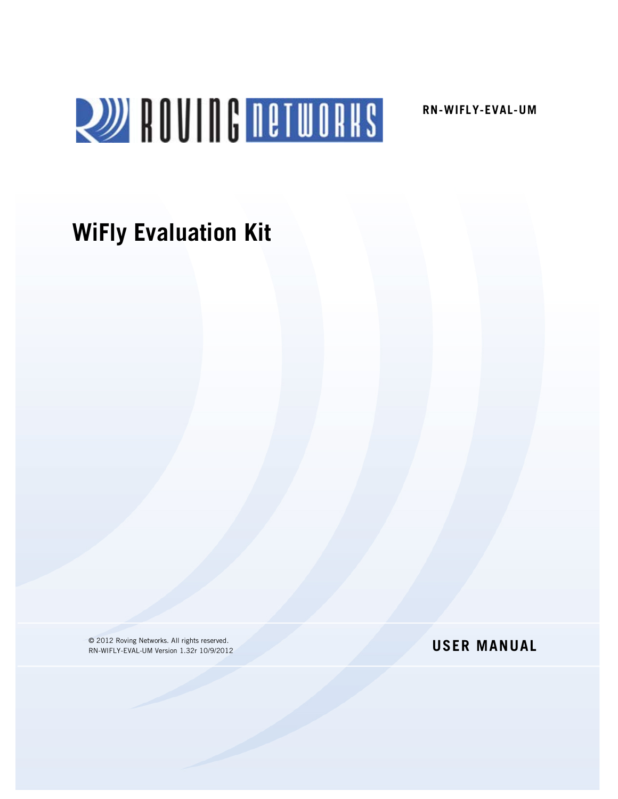

**RN-WIFLY-EVAL-UM**

# **WiFly Evaluation Kit**

© 2012 Roving Networks. All rights reserved.<br>RN-WIFLY-EVAL-UM Version 1.32r 10/9/2012 **RND ALL ROVING AND ALL ROVING AND ALL ROVING A**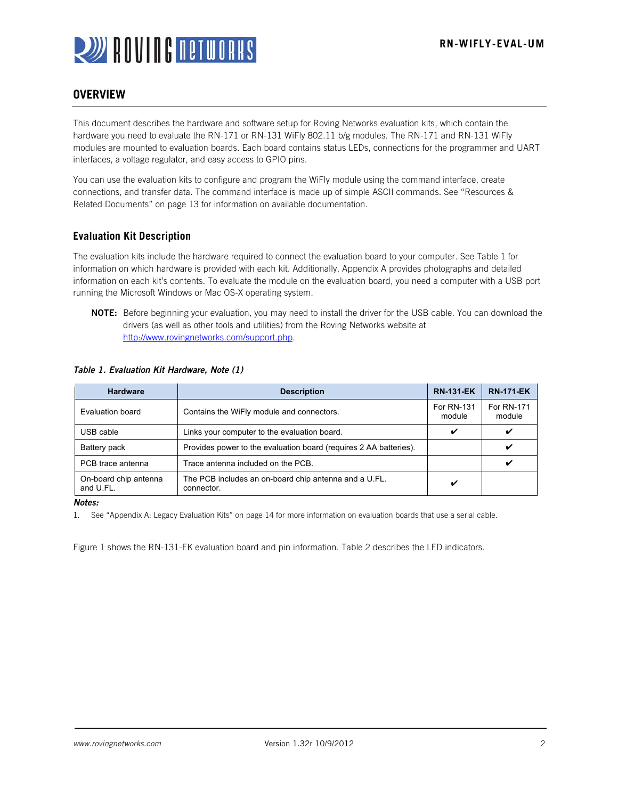

# **OVERVIEW**

This document describes the hardware and software setup for Roving Networks evaluation kits, which contain the hardware you need to evaluate the RN-171 or RN-131 WiFly 802.11 b/g modules. The RN-171 and RN-131 WiFly modules are mounted to evaluation boards. Each board contains status LEDs, connections for the programmer and UART interfaces, a voltage regulator, and easy access to GPIO pins.

You can use the evaluation kits to configure and program the WiFly module using the command interface, create connections, and transfer data. The command interface is made up of simple ASCII commands. See "Resources & Related Documents" on page 13 for information on available documentation.

# **Evaluation Kit Description**

The evaluation kits include the hardware required to connect the evaluation board to your computer. See Table 1 for information on which hardware is provided with each kit. Additionally, Appendix A provides photographs and detailed information on each kit's contents. To evaluate the module on the evaluation board, you need a computer with a USB port running the Microsoft Windows or Mac OS-X operating system.

NOTE: Before beginning your evaluation, you may need to install the driver for the USB cable. You can download the drivers (as well as other tools and utilities) from the Roving Networks website at http://www.rovingnetworks.com/support.php.

|  |  | Table 1. Evaluation Kit Hardware, Note (1) |  |  |
|--|--|--------------------------------------------|--|--|
|--|--|--------------------------------------------|--|--|

| <b>Hardware</b>                    | <b>Description</b>                                                  | <b>RN-131-EK</b>            | <b>RN-171-EK</b>            |
|------------------------------------|---------------------------------------------------------------------|-----------------------------|-----------------------------|
| Evaluation board                   | Contains the WiFly module and connectors.                           | <b>For RN-131</b><br>module | <b>For RN-171</b><br>module |
| USB cable                          | Links your computer to the evaluation board.                        |                             |                             |
| Battery pack                       | Provides power to the evaluation board (requires 2 AA batteries).   |                             |                             |
| PCB trace antenna                  | Trace antenna included on the PCB.                                  |                             |                             |
| On-board chip antenna<br>and U.FL. | The PCB includes an on-board chip antenna and a U.FL.<br>connector. |                             |                             |

#### *Notes:*

1. See "Appendix A: Legacy Evaluation Kits" on page 14 for more information on evaluation boards that use a serial cable.

Figure 1 shows the RN-131-EK evaluation board and pin information. Table 2 describes the LED indicators.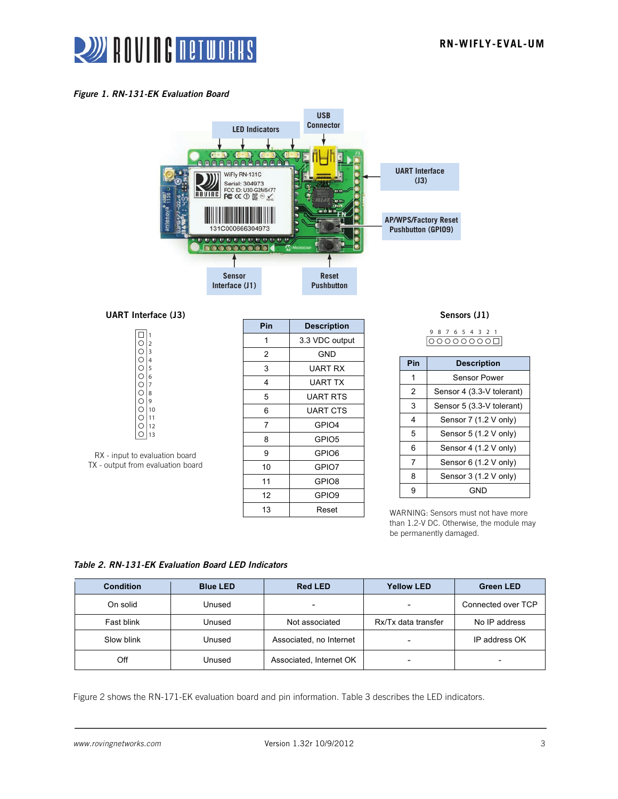

## *Figure 1. RN-131-EK Evaluation Board*



than 1.2-V DC. Otherwise, the module may be permanently damaged.

#### *Table 2. RN-131-EK Evaluation Board LED Indicators*

| <b>Condition</b> | <b>Blue LED</b> | <b>Red LED</b>          | <b>Yellow LED</b>        | <b>Green LED</b>         |
|------------------|-----------------|-------------------------|--------------------------|--------------------------|
| On solid         | Unused          |                         |                          | Connected over TCP       |
| Fast blink       | Unused          | Not associated          | Rx/Tx data transfer      | No IP address            |
| Slow blink       | Unused          | Associated, no Internet | -                        | IP address OK            |
| Off              | Unused          | Associated, Internet OK | $\overline{\phantom{0}}$ | $\overline{\phantom{0}}$ |

Figure 2 shows the RN-171-EK evaluation board and pin information. Table 3 describes the LED indicators.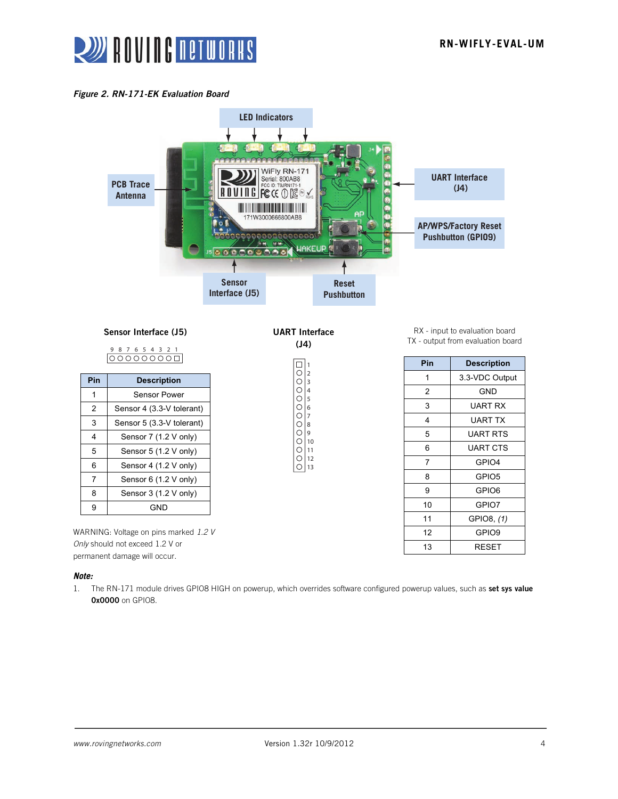

## *Figure 2. RN-171-EK Evaluation Board*



*Only* should not exceed 1.2 V or permanent damage will occur.

#### *Note:*

1. The RN-171 module drives GPIO8 HIGH on powerup, which overrides software configured powerup values, such as set sys value 0x0000 on GPIO8.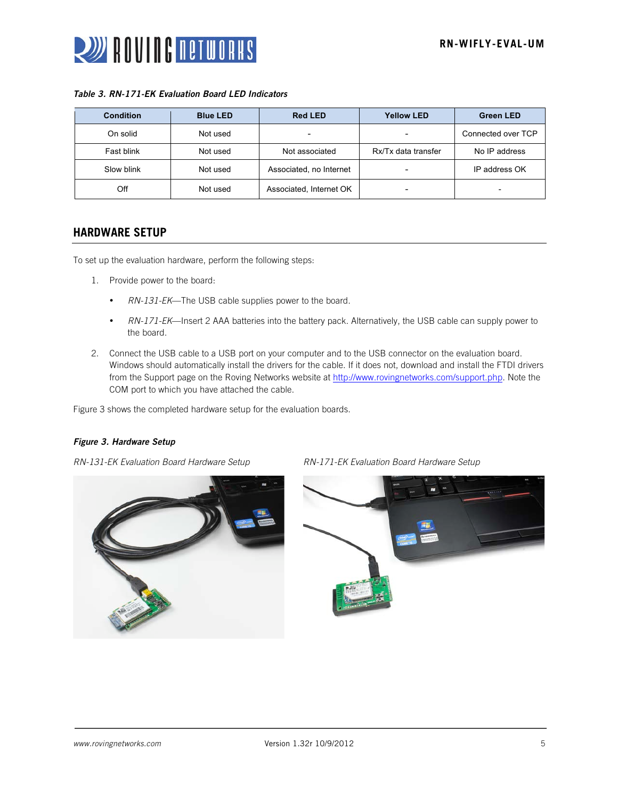

# *Table 3. RN-171-EK Evaluation Board LED Indicators*

| <b>Condition</b> | <b>Blue LED</b> | <b>Red LED</b>          | <b>Yellow LED</b>        | <b>Green LED</b>         |
|------------------|-----------------|-------------------------|--------------------------|--------------------------|
| On solid         | Not used        | -                       | $\overline{\phantom{0}}$ | Connected over TCP       |
| Fast blink       | Not used        | Not associated          | Rx/Tx data transfer      | No IP address            |
| Slow blink       | Not used        | Associated, no Internet | -                        | IP address OK            |
| Off              | Not used        | Associated, Internet OK | -                        | $\overline{\phantom{0}}$ |

# **HARDWARE SETUP**

To set up the evaluation hardware, perform the following steps:

- 1. Provide power to the board:
	- *RN-131-EK*—The USB cable supplies power to the board.
	- *RN-171-EK*—Insert 2 AAA batteries into the battery pack. Alternatively, the USB cable can supply power to the board.
- 2. Connect the USB cable to a USB port on your computer and to the USB connector on the evaluation board. Windows should automatically install the drivers for the cable. If it does not, download and install the FTDI drivers from the Support page on the Roving Networks website at http://www.rovingnetworks.com/support.php. Note the COM port to which you have attached the cable.

Figure 3 shows the completed hardware setup for the evaluation boards.

## *Figure 3. Hardware Setup*



*RN-131-EK Evaluation Board Hardware Setup RN-171-EK Evaluation Board Hardware Setup*

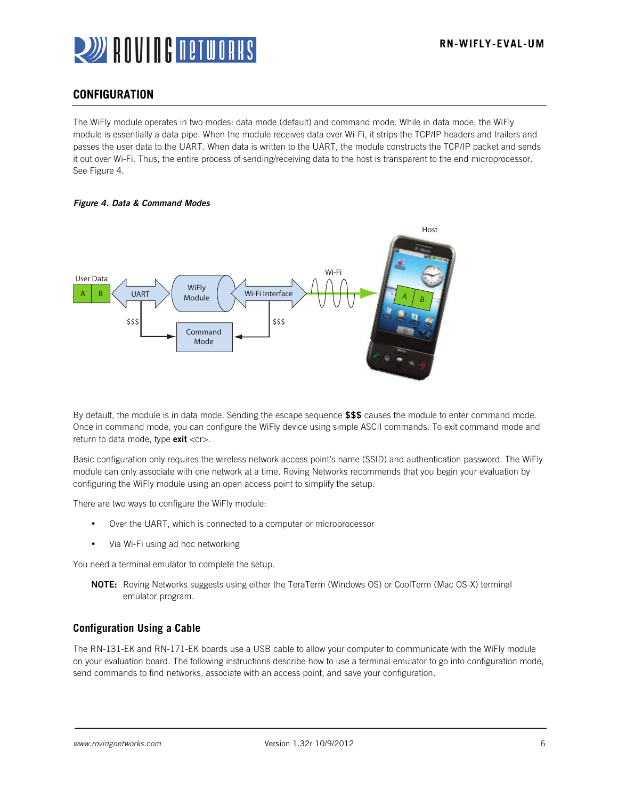

# **CONFIGURATION**

The WiFly module operates in two modes: data mode (default) and command mode. While in data mode, the WiFly module is essentially a data pipe. When the module receives data over Wi-Fi, it strips the TCP/IP headers and trailers and passes the user data to the UART. When data is written to the UART, the module constructs the TCP/IP packet and sends it out over Wi-Fi. Thus, the entire process of sending/receiving data to the host is transparent to the end microprocessor. See Figure 4.





By default, the module is in data mode. Sending the escape sequence \$\$\$ causes the module to enter command mode. Once in command mode, you can configure the WiFly device using simple ASCII commands. To exit command mode and return to data mode, type  $exit < c$ r $>$ .

Basic configuration only requires the wireless network access point's name (SSID) and authentication password. The WiFly module can only associate with one network at a time. Roving Networks recommends that you begin your evaluation by configuring the WiFly module using an open access point to simplify the setup.

There are two ways to configure the WiFly module:

- Over the UART, which is connected to a computer or microprocessor
- Via Wi-Fi using ad hoc networking

You need a terminal emulator to complete the setup.

NOTE: Roving Networks suggests using either the TeraTerm (Windows OS) or CoolTerm (Mac OS-X) terminal emulator program.

# **Configuration Using a Cable**

The RN-131-EK and RN-171-EK boards use a USB cable to allow your computer to communicate with the WiFly module on your evaluation board. The following instructions describe how to use a terminal emulator to go into configuration mode, send commands to find networks, associate with an access point, and save your configuration.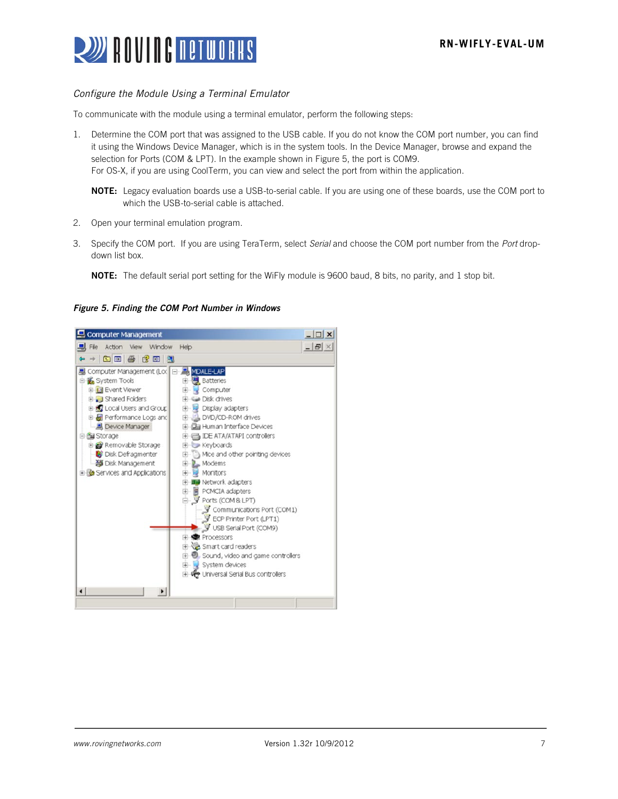

# *Configure the Module Using a Terminal Emulator*

To communicate with the module using a terminal emulator, perform the following steps:

- 1. Determine the COM port that was assigned to the USB cable. If you do not know the COM port number, you can find it using the Windows Device Manager, which is in the system tools. In the Device Manager, browse and expand the selection for Ports (COM & LPT). In the example shown in Figure 5, the port is COM9. For OS-X, if you are using CoolTerm, you can view and select the port from within the application.
	- NOTE: Legacy evaluation boards use a USB-to-serial cable. If you are using one of these boards, use the COM port to which the USB-to-serial cable is attached.
- 2. Open your terminal emulation program.
- 3. Specify the COM port. If you are using TeraTerm, select *Serial* and choose the COM port number from the *Port* dropdown list box.
	- NOTE: The default serial port setting for the WiFly module is 9600 baud, 8 bits, no parity, and 1 stop bit.

*Figure 5. Finding the COM Port Number in Windows*

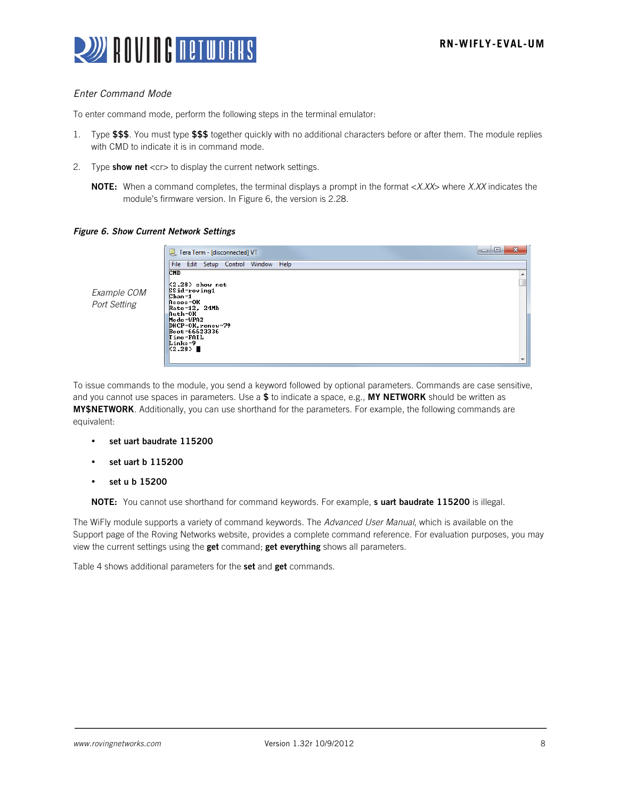

# *Enter Command Mode*

To enter command mode, perform the following steps in the terminal emulator:

- 1. Type \$\$\$. You must type \$\$\$ together quickly with no additional characters before or after them. The module replies with CMD to indicate it is in command mode.
- 2. Type show net <cr> to display the current network settings.
	- NOTE: When a command completes, the terminal displays a prompt in the format <*X.XX*> where *X.XX* indicates the module's firmware version. In Figure 6, the version is 2.28.

*Figure 6. Show Current Network Settings*



To issue commands to the module, you send a keyword followed by optional parameters. Commands are case sensitive, and you cannot use spaces in parameters. Use a  $\frac{4}{3}$  to indicate a space, e.g., MY NETWORK should be written as MY\$NETWORK. Additionally, you can use shorthand for the parameters. For example, the following commands are equivalent:

- set uart baudrate 115200
- set uart **b** 115200
- set u b 15200

NOTE: You cannot use shorthand for command keywords. For example, s uart baudrate 115200 is illegal.

The WiFly module supports a variety of command keywords. The *Advanced User Manual*, which is available on the Support page of the Roving Networks website, provides a complete command reference. For evaluation purposes, you may view the current settings using the get command; get everything shows all parameters.

Table 4 shows additional parameters for the set and get commands.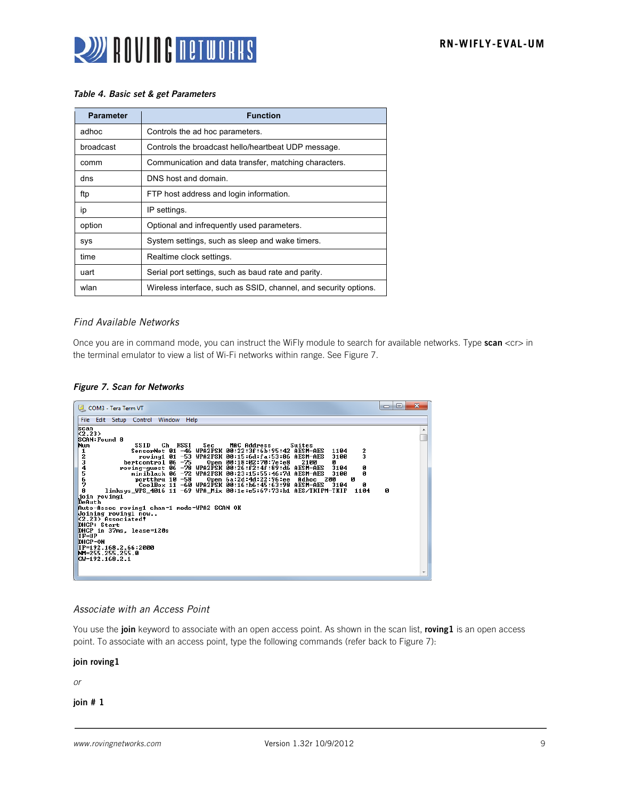

## *Table 4. Basic set & get Parameters*

| <b>Parameter</b> | <b>Function</b>                                                  |
|------------------|------------------------------------------------------------------|
| adhoc            | Controls the ad hoc parameters.                                  |
| broadcast        | Controls the broadcast hello/heartbeat UDP message.              |
| comm             | Communication and data transfer, matching characters.            |
| dns              | DNS host and domain.                                             |
| ftp              | FTP host address and login information.                          |
| ip               | IP settings.                                                     |
| option           | Optional and infrequently used parameters.                       |
| sys              | System settings, such as sleep and wake timers.                  |
| time             | Realtime clock settings.                                         |
| uart             | Serial port settings, such as baud rate and parity.              |
| wlan             | Wireless interface, such as SSID, channel, and security options. |

## *Find Available Networks*

Once you are in command mode, you can instruct the WiFly module to search for available networks. Type scan <cr> in the terminal emulator to view a list of Wi-Fi networks within range. See Figure 7.

# *Figure 7. Scan for Networks*

| COM3 - Tera Term VT                                                                                                                                                                                                                                                                                                                                                                                                                                                                                                                                                                                                                                                                                                                                                                                                                                                                                                                    | $\mathbf{x}$<br>回<br>$\Box$ |
|----------------------------------------------------------------------------------------------------------------------------------------------------------------------------------------------------------------------------------------------------------------------------------------------------------------------------------------------------------------------------------------------------------------------------------------------------------------------------------------------------------------------------------------------------------------------------------------------------------------------------------------------------------------------------------------------------------------------------------------------------------------------------------------------------------------------------------------------------------------------------------------------------------------------------------------|-----------------------------|
| File Edit Setup Control Window Help                                                                                                                                                                                                                                                                                                                                                                                                                                                                                                                                                                                                                                                                                                                                                                                                                                                                                                    |                             |
| scan<br>K2.23><br>SCAN:Found 8<br><b>Num</b><br>SS I D<br>Ch RSSI<br>MAC Address<br>Sec<br>Suites<br>SensorNet 01 -46 WPA2PSK 00:22:3f:6b:95:42 AESM-AES<br>1<br>1104<br>2<br>234567<br>3<br>roving1 01 -53 WPA2PSK 00:15:6d:fa:53:86 AESM-AES<br>3100<br>bertcontrol 06 -75<br>Open 00:18:02:70:7e:e8<br>2100<br>ø<br>roving-quest 06 -78 WPA2PSK 00:26:f2:4f:89:d6 AESM-AES<br>3104<br>ø<br>Й<br>miniblack 06 –72 WPA2PSK 00:23:15:55:46:7d AESM-AES<br>3100<br>Open 6a:2d:4d:22:96:ee<br>Adhoc<br>200<br>portthru 10 -58<br>Й<br>CoolBox 11 -60 WPA2PSK 00:16:b6:45:63:98 AESM-AES 3104<br>ø<br>8<br>linksys_WPS_4016 11 -69 WPA_Mix 00:1e:e5:67:73:b1 AES/TKIPM-TKIP<br>1104<br>ljoin roving1<br>DeAuth<br>Auto-Assoc roving1 chan=1 mode=WPA2 SCAN OK<br>Joining roving1 now<br>K2.23> Associated!<br>DHCP: Start<br>DHCP in 37ms. lease=120s<br>$IP=UP$<br>DHCP=ON<br>IP=192.168.2.66:2000<br>NM=255.255.255.0<br>GV=192.168.2.1 | Й                           |

#### *Associate with an Access Point*

You use the join keyword to associate with an open access point. As shown in the scan list, roving1 is an open access point. To associate with an access point, type the following commands (refer back to Figure 7):

join roving1

*or*

join # 1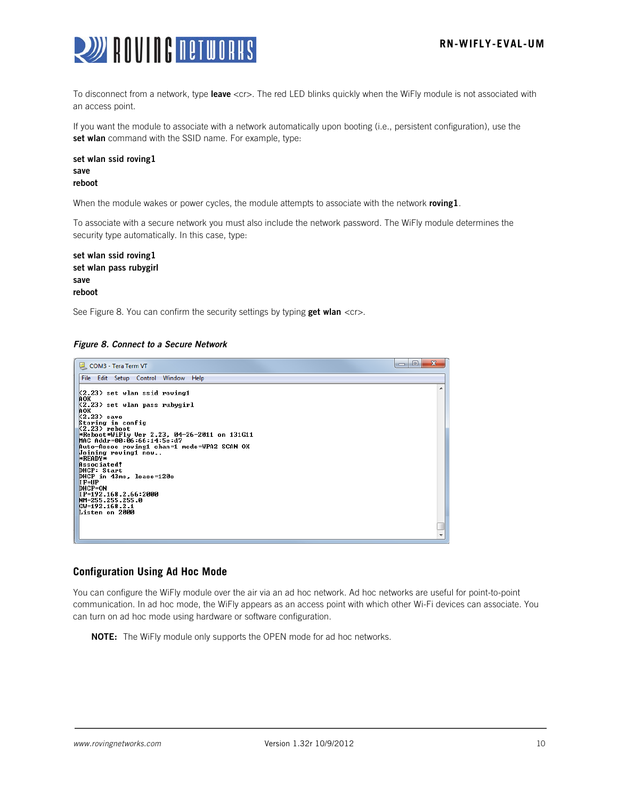

To disconnect from a network, type leave <cr>. The red LED blinks quickly when the WiFly module is not associated with an access point.

If you want the module to associate with a network automatically upon booting (i.e., persistent configuration), use the set wlan command with the SSID name. For example, type:

set wlan ssid roving1 save reboot

When the module wakes or power cycles, the module attempts to associate with the network roving1.

To associate with a secure network you must also include the network password. The WiFly module determines the security type automatically. In this case, type:

set wlan ssid roving1 set wlan pass rubygirl save reboot

See Figure 8. You can confirm the security settings by typing **get wlan** <cr>.

#### *Figure 8. Connect to a Secure Network*



## **Configuration Using Ad Hoc Mode**

You can configure the WiFly module over the air via an ad hoc network. Ad hoc networks are useful for point-to-point communication. In ad hoc mode, the WiFly appears as an access point with which other Wi-Fi devices can associate. You can turn on ad hoc mode using hardware or software configuration.

NOTE: The WiFly module only supports the OPEN mode for ad hoc networks.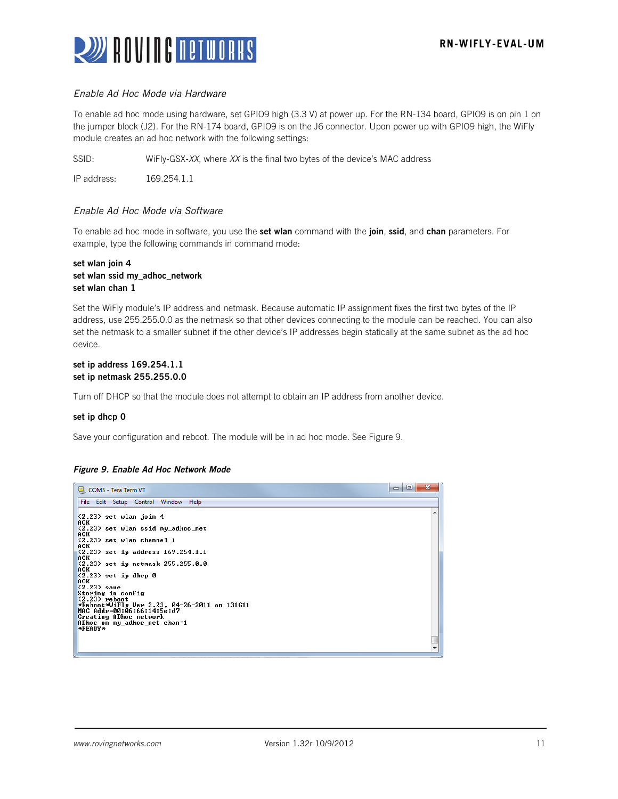

## *Enable Ad Hoc Mode via Hardware*

To enable ad hoc mode using hardware, set GPIO9 high (3.3 V) at power up. For the RN-134 board, GPIO9 is on pin 1 on the jumper block (J2). For the RN-174 board, GPIO9 is on the J6 connector. Upon power up with GPIO9 high, the WiFly module creates an ad hoc network with the following settings:

SSID: WiFly-GSX-*XX*, where *XX* is the final two bytes of the device's MAC address

IP address: 169.254.1.1

#### *Enable Ad Hoc Mode via Software*

To enable ad hoc mode in software, you use the set wlan command with the join, ssid, and chan parameters. For example, type the following commands in command mode:

#### set wlan join 4 set wlan ssid my\_adhoc\_network set wlan chan 1

Set the WiFly module's IP address and netmask. Because automatic IP assignment fixes the first two bytes of the IP address, use 255.255.0.0 as the netmask so that other devices connecting to the module can be reached. You can also set the netmask to a smaller subnet if the other device's IP addresses begin statically at the same subnet as the ad hoc device.

#### set ip address 169.254.1.1 set ip netmask 255.255.0.0

Turn off DHCP so that the module does not attempt to obtain an IP address from another device.

#### set ip dhcp 0

Save your configuration and reboot. The module will be in ad hoc mode. See Figure 9.

#### *Figure 9. Enable Ad Hoc Network Mode*

| COM3 - Tera Term VT                                                               | $\overline{\mathbf{x}}$<br>$\Box$<br>▭ |
|-----------------------------------------------------------------------------------|----------------------------------------|
| File Edit Setup Control Window Help                                               |                                        |
| $\vert$ $\langle 2.23 \rangle$ set wlan join 4<br>AOK                             |                                        |
| K2.23> set wlan ssid my_adhoc_net<br>AOK                                          |                                        |
| K2.23> set wlan channel 1<br>AOK                                                  |                                        |
| $K2.23$ set ip address 169.254.1.1<br><b>AOK</b>                                  |                                        |
| K2.23> set ip netmask 255.255.0.0<br><b>AOK</b>                                   |                                        |
| $\vert$ $\langle 2.23 \rangle$ set ip dhep 0<br><b>AOK</b>                        |                                        |
| $K2.23$ save                                                                      |                                        |
| Storing in config<br>$ \&2.23\rangle$ reboot                                      |                                        |
| <b>*Reboot*WiFly Uer 2.23, 04-26-2011 on 131G11</b><br>MAC Addr=00:06:66:14:5e:d7 |                                        |
| Creating ADhoc network                                                            |                                        |
| ADhoc on my_adhoc_net chan=1<br>$\star$ READY $\star$                             |                                        |
|                                                                                   |                                        |
|                                                                                   |                                        |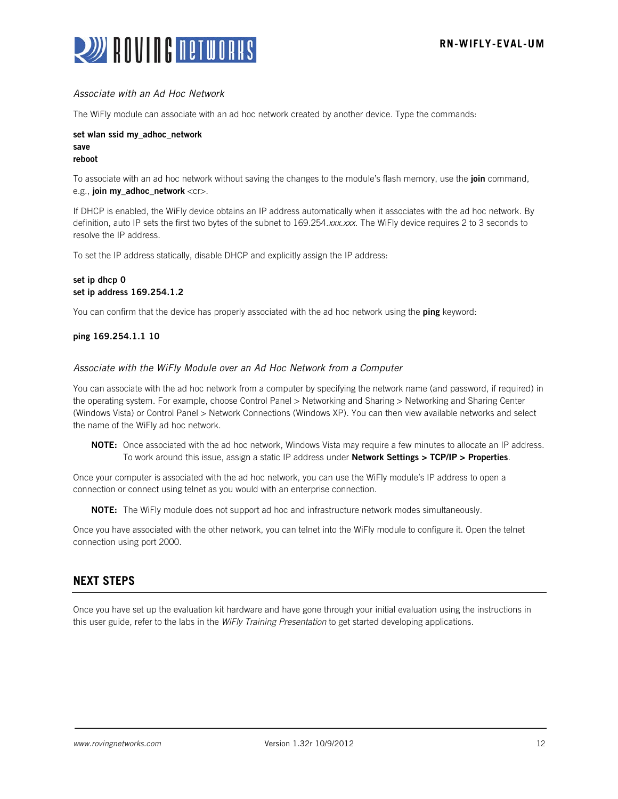

# *Associate with an Ad Hoc Network*

The WiFly module can associate with an ad hoc network created by another device. Type the commands:

#### set wlan ssid my\_adhoc\_network save reboot

To associate with an ad hoc network without saving the changes to the module's flash memory, use the join command, e.g., join my\_adhoc\_network <cr>.

If DHCP is enabled, the WiFly device obtains an IP address automatically when it associates with the ad hoc network. By definition, auto IP sets the first two bytes of the subnet to 169.254.*xxx.xxx*. The WiFly device requires 2 to 3 seconds to resolve the IP address.

To set the IP address statically, disable DHCP and explicitly assign the IP address:

#### set ip dhcp 0 set ip address 169.254.1.2

You can confirm that the device has properly associated with the ad hoc network using the ping keyword:

#### ping 169.254.1.1 10

#### *Associate with the WiFly Module over an Ad Hoc Network from a Computer*

You can associate with the ad hoc network from a computer by specifying the network name (and password, if required) in the operating system. For example, choose Control Panel > Networking and Sharing > Networking and Sharing Center (Windows Vista) or Control Panel > Network Connections (Windows XP). You can then view available networks and select the name of the WiFly ad hoc network.

NOTE: Once associated with the ad hoc network, Windows Vista may require a few minutes to allocate an IP address. To work around this issue, assign a static IP address under **Network Settings > TCP/IP > Properties**.

Once your computer is associated with the ad hoc network, you can use the WiFly module's IP address to open a connection or connect using telnet as you would with an enterprise connection.

NOTE: The WiFly module does not support ad hoc and infrastructure network modes simultaneously.

Once you have associated with the other network, you can telnet into the WiFly module to configure it. Open the telnet connection using port 2000.

# **NEXT STEPS**

Once you have set up the evaluation kit hardware and have gone through your initial evaluation using the instructions in this user guide, refer to the labs in the *WiFly Training Presentation* to get started developing applications.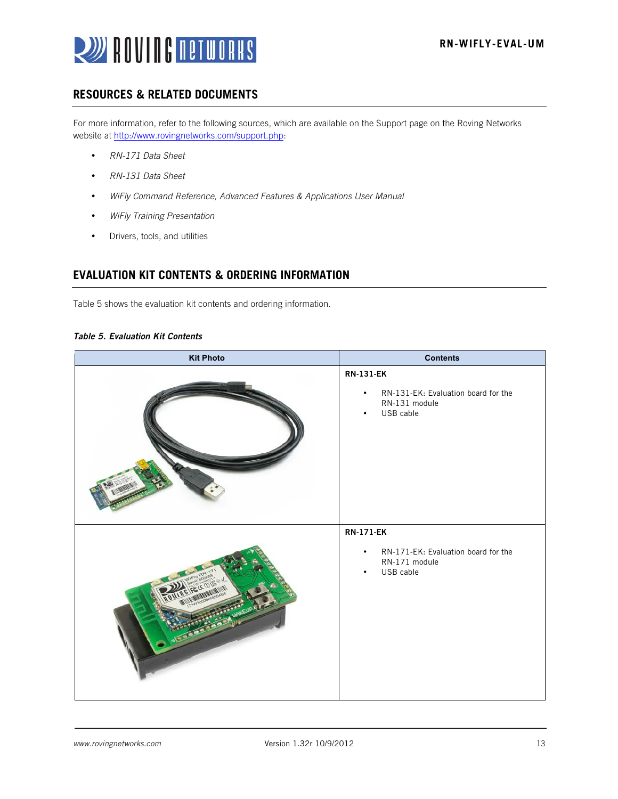

# **RESOURCES & RELATED DOCUMENTS**

For more information, refer to the following sources, which are available on the Support page on the Roving Networks website at http://www.rovingnetworks.com/support.php:

- *RN-171 Data Sheet*
- *RN-131 Data Sheet*
- *WiFly Command Reference, Advanced Features & Applications User Manual*
- *WiFly Training Presentation*
- Drivers, tools, and utilities

# **EVALUATION KIT CONTENTS & ORDERING INFORMATION**

Table 5 shows the evaluation kit contents and ordering information.

#### *Table 5. Evaluation Kit Contents*

| <b>Kit Photo</b> | <b>Contents</b>                                                                                                 |
|------------------|-----------------------------------------------------------------------------------------------------------------|
|                  | <b>RN-131-EK</b><br>RN-131-EK: Evaluation board for the<br>$\bullet$<br>RN-131 module<br>USB cable<br>$\bullet$ |
|                  | <b>RN-171-EK</b><br>RN-171-EK: Evaluation board for the<br>$\bullet$<br>RN-171 module<br>USB cable<br>$\bullet$ |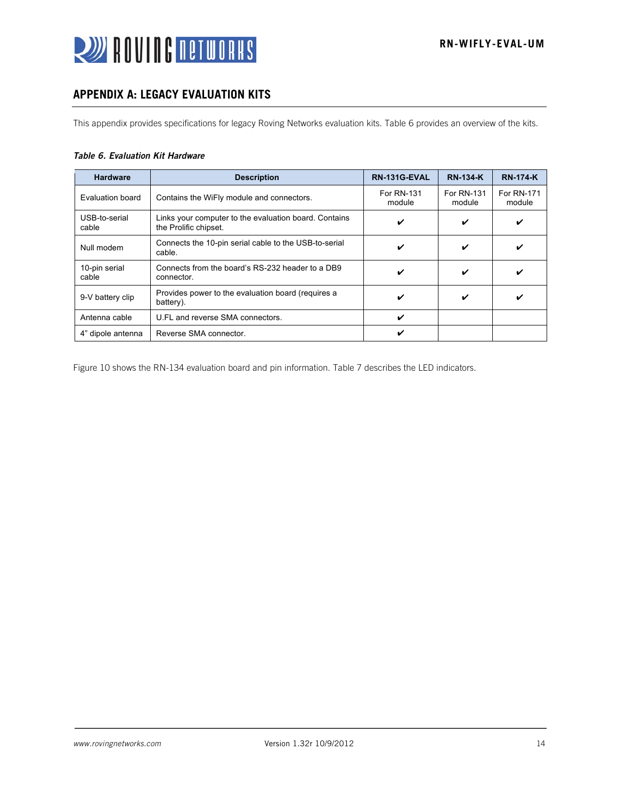

# **APPENDIX A: LEGACY EVALUATION KITS**

This appendix provides specifications for legacy Roving Networks evaluation kits. Table 6 provides an overview of the kits.

## *Table 6. Evaluation Kit Hardware*

| <b>Hardware</b>        | <b>Description</b>                                                             | RN-131G-EVAL                | <b>RN-134-K</b>      | <b>RN-174-K</b>      |
|------------------------|--------------------------------------------------------------------------------|-----------------------------|----------------------|----------------------|
| Evaluation board       | Contains the WiFly module and connectors.                                      | <b>For RN-131</b><br>module | For RN-131<br>module | For RN-171<br>module |
| USB-to-serial<br>cable | Links your computer to the evaluation board. Contains<br>the Prolific chipset. | ✓                           |                      | ✔                    |
| Null modem             | Connects the 10-pin serial cable to the USB-to-serial<br>cable.                | ✓                           | ✓                    | ✔                    |
| 10-pin serial<br>cable | Connects from the board's RS-232 header to a DB9<br>connector.                 | ✔                           | ✔                    | ✔                    |
| 9-V battery clip       | Provides power to the evaluation board (requires a<br>battery).                | ✓                           | V                    | ✔                    |
| Antenna cable          | U.FL and reverse SMA connectors.                                               | ✓                           |                      |                      |
| 4" dipole antenna      | Reverse SMA connector.                                                         | ✓                           |                      |                      |

Figure 10 shows the RN-134 evaluation board and pin information. Table 7 describes the LED indicators.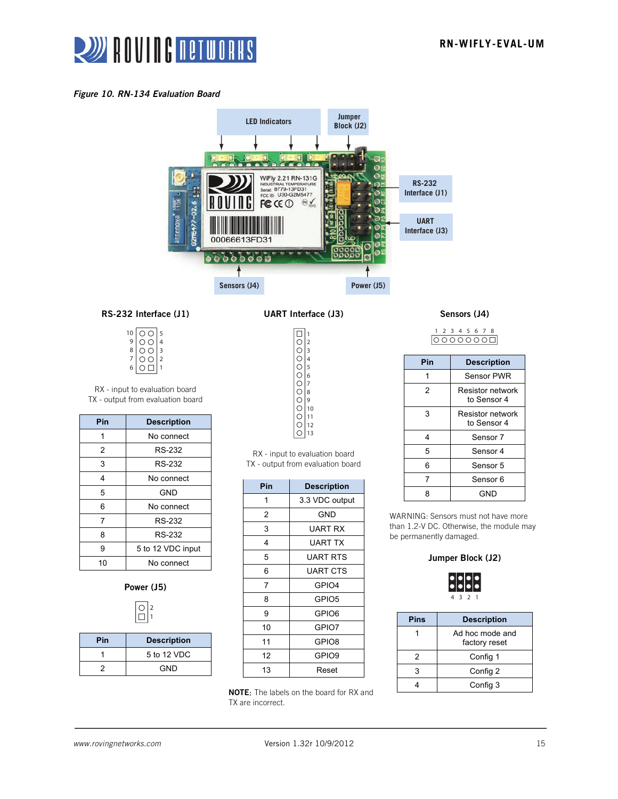

# *Figure 10. RN-134 Evaluation Board*



#### RS-232 Interface (J1)

|   | 5 |
|---|---|
|   |   |
| ۶ |   |
|   |   |
|   |   |

RX - input to evaluation board TX - output from evaluation board

| Pin | <b>Description</b> |  |
|-----|--------------------|--|
| 1   | No connect         |  |
| 2   | <b>RS-232</b>      |  |
| 3   | RS-232             |  |
| 4   | No connect         |  |
| 5   | GND                |  |
| 6   | No connect         |  |
| 7   | <b>RS-232</b>      |  |
| 8   | <b>RS-232</b>      |  |
| 9   | 5 to 12 VDC input  |  |
| 10  | No connect         |  |

## Power (J5)



| Pin | <b>Description</b> |
|-----|--------------------|
|     | 5 to 12 VDC        |
| 2   | GND                |

UART Interface (J3)



RX - input to evaluation board TX - output from evaluation board

| Pin | <b>Description</b> |  |
|-----|--------------------|--|
| 1   | 3.3 VDC output     |  |
| 2   | GND                |  |
| 3   | UART RX            |  |
| 4   | UART TX            |  |
| 5   | UART RTS           |  |
| 6   | UART CTS           |  |
| 7   | GPIO4              |  |
| 8   | GPIO5              |  |
| 9   | GPIO6              |  |
| 10  | GPIO7              |  |
| 11  | GPIO8              |  |
| 12  | GPIO9              |  |
| 13  | Reset              |  |

NOTE: The labels on the board for RX and TX are incorrect.

Sensors (J4)

1 58 2 3 4 6 7

| Pin | <b>Description</b>                     |
|-----|----------------------------------------|
|     | Sensor PWR                             |
| 2   | Resistor network<br>to Sensor 4        |
| 3   | <b>Resistor network</b><br>to Sensor 4 |
| 4   | Sensor 7                               |
| 5   | Sensor 4                               |
| 6   | Sensor 5                               |
| 7   | Sensor 6                               |
| ឧ   | GND                                    |

WARNING: Sensors must not have more than 1.2-V DC. Otherwise, the module may be permanently damaged.

#### Jumper Block (J2)



| <b>Pins</b> | <b>Description</b>               |  |
|-------------|----------------------------------|--|
|             | Ad hoc mode and<br>factory reset |  |
| 2           | Config 1                         |  |
| 3           | Config 2                         |  |
|             | Config 3                         |  |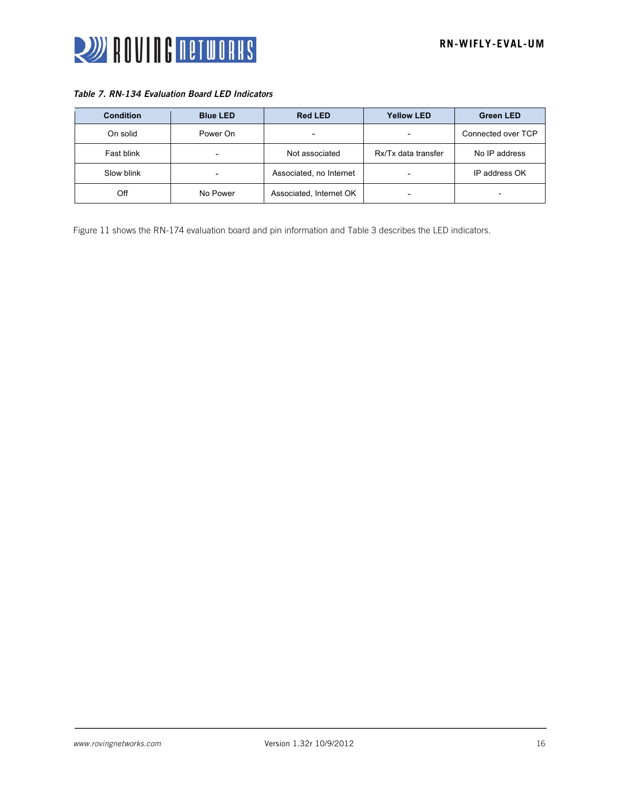

## *Table 7. RN-134 Evaluation Board LED Indicators*

| <b>Condition</b> | <b>Blue LED</b> | <b>Red LED</b>          | <b>Yellow LED</b>   | <b>Green LED</b>         |
|------------------|-----------------|-------------------------|---------------------|--------------------------|
| On solid         | Power On        |                         |                     | Connected over TCP       |
| Fast blink       |                 | Not associated          | Rx/Tx data transfer | No IP address            |
| Slow blink       |                 | Associated, no Internet | -                   | IP address OK            |
| Off              | No Power        | Associated, Internet OK | -                   | $\overline{\phantom{0}}$ |

Figure 11 shows the RN-174 evaluation board and pin information and Table 3 describes the LED indicators.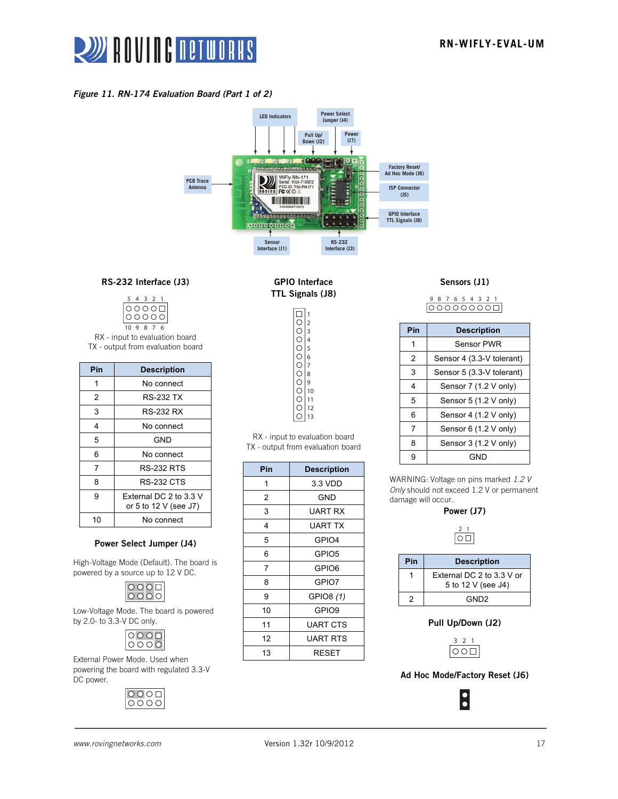

## *Figure 11. RN-174 Evaluation Board (Part 1 of 2)*



#### RS-232 Interface (J3)



RX - input to evaluation board TX - output from evaluation board

| Pin | <b>Description</b>                              |
|-----|-------------------------------------------------|
| 1   | No connect                                      |
| 2   | RS-232 TX                                       |
| 3   | RS-232 RX                                       |
| 4   | No connect                                      |
| 5   | GND                                             |
| 6   | No connect                                      |
| 7   | RS-232 RTS                                      |
| 8   | RS-232 CTS                                      |
| 9   | External DC 2 to 3.3 V<br>or 5 to 12 V (see J7) |
| 10  | No connect                                      |

## Power Select Jumper (J4)

High-Voltage Mode (Default). The board is powered by a source up to 12 V DC.



Low-Voltage Mode. The board is powered by 2.0- to 3.3-V DC only.



External Power Mode. Used when powering the board with regulated 3.3-V DC power.



GPIO Interface TTL Signals (J8)



RX - input to evaluation board TX - output from evaluation board

| Pin | <b>Description</b> |  |
|-----|--------------------|--|
| 1   | 3.3 VDD            |  |
| 2   | <b>GND</b>         |  |
| 3   | UART RX            |  |
| 4   | UART TX            |  |
| 5   | GPIO4              |  |
| 6   | GPIO5              |  |
| 7   | GPIO6              |  |
| 8   | GPIO7              |  |
| 9   | GPIO8 (1)          |  |
| 10  | GPIO9              |  |
| 11  | <b>UART CTS</b>    |  |
| 12  | UART RTS           |  |
| 13  | RESET              |  |

Sensors (J1)

9 8 7 6 5 4 3 2 1<br>  $\boxed{00000000}$ 

| Pin | <b>Description</b>        |  |
|-----|---------------------------|--|
| 1   | Sensor PWR                |  |
| 2   | Sensor 4 (3.3-V tolerant) |  |
| 3   | Sensor 5 (3.3-V tolerant) |  |
| 4   | Sensor 7 (1.2 V only)     |  |
| 5   | Sensor 5 (1.2 V only)     |  |
| 6   | Sensor 4 (1.2 V only)     |  |
| 7   | Sensor 6 (1.2 V only)     |  |
| 8   | Sensor 3 (1.2 V only)     |  |
| q   | GND                       |  |

WARNING: Voltage on pins marked *1.2 V Only* should not exceed 1.2 V or permanent damage will occur.

Power (J7)

2 1  $\boxed{\circ}$ 

| Pin | <b>Description</b>                              |
|-----|-------------------------------------------------|
|     | External DC 2 to 3.3 V or<br>5 to 12 V (see J4) |
|     | GND2                                            |

#### Pull Up/Down (J2)



Ad Hoc Mode/Factory Reset (J6)

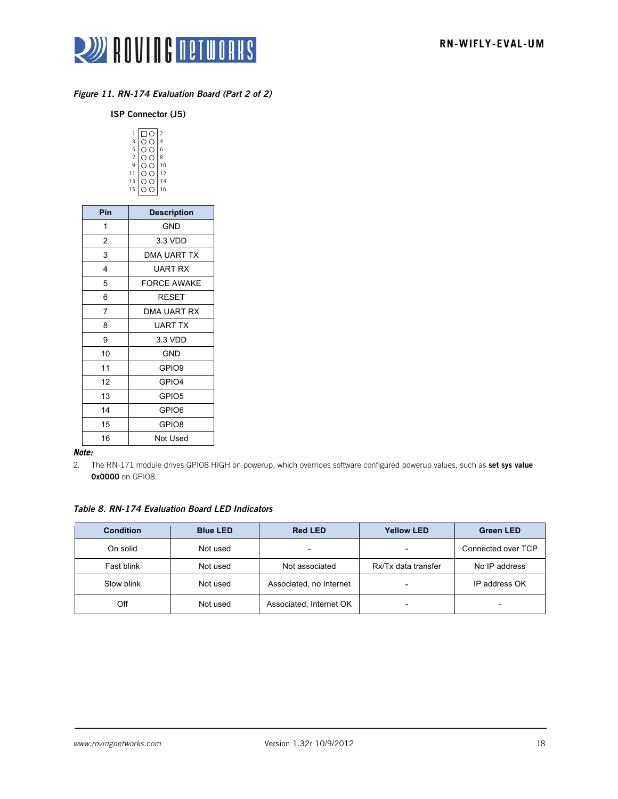

# *Figure 11. RN-174 Evaluation Board (Part 2 of 2)*

ISP Connector (J5)

| 1  | IО<br>Г                 | $\overline{\mathbf{c}}$ |
|----|-------------------------|-------------------------|
| 3  | ററ                      | 4                       |
| 5  | ( ) ( )                 | 6                       |
| 7  | 00                      | 8                       |
| q  | ററ                      | 10                      |
| 11 | ററ                      | 12                      |
| 13 | $\left( \ \right)$<br>⊖ | 14                      |
| 15 |                         | 16                      |
|    |                         |                         |

| Pin | <b>Description</b> |  |
|-----|--------------------|--|
| 1   | <b>GND</b>         |  |
| 2   | 3.3 VDD            |  |
| 3   | <b>DMA UART TX</b> |  |
| 4   | UART RX            |  |
| 5   | <b>FORCE AWAKE</b> |  |
| 6   | <b>RESET</b>       |  |
| 7   | DMA UART RX        |  |
| 8   | UART TX            |  |
| 9   | 3.3 VDD            |  |
| 10  | <b>GND</b>         |  |
| 11  | GPIO9              |  |
| 12  | GPIO4              |  |
| 13  | GPIO5              |  |
| 14  | GPIO6              |  |
| 15  | GPIO8              |  |
| 16  | Not Used           |  |

*Note:*

2. The RN-171 module drives GPIO8 HIGH on powerup, which overrides software configured powerup values, such as set sys value 0x0000 on GPIO8.

| <b>Condition</b> | <b>Blue LED</b> | <b>Red LED</b>           | <b>Yellow LED</b>   | <b>Green LED</b>         |
|------------------|-----------------|--------------------------|---------------------|--------------------------|
| On solid         | Not used        | $\overline{\phantom{0}}$ |                     | Connected over TCP       |
| Fast blink       | Not used        | Not associated           | Rx/Tx data transfer | No IP address            |
| Slow blink       | Not used        | Associated, no Internet  |                     | IP address OK            |
| Off              | Not used        | Associated, Internet OK  | -                   | $\overline{\phantom{0}}$ |

*Table 8. RN-174 Evaluation Board LED Indicators*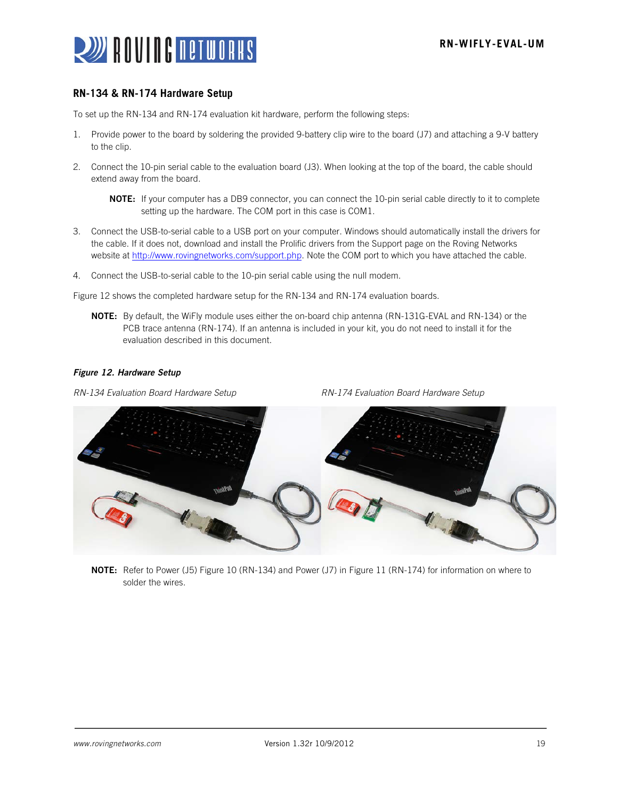

# **RN-134 & RN-174 Hardware Setup**

To set up the RN-134 and RN-174 evaluation kit hardware, perform the following steps:

- 1. Provide power to the board by soldering the provided 9-battery clip wire to the board (J7) and attaching a 9-V battery to the clip.
- 2. Connect the 10-pin serial cable to the evaluation board (J3). When looking at the top of the board, the cable should extend away from the board.
	- NOTE: If your computer has a DB9 connector, you can connect the 10-pin serial cable directly to it to complete setting up the hardware. The COM port in this case is COM1.
- 3. Connect the USB-to-serial cable to a USB port on your computer. Windows should automatically install the drivers for the cable. If it does not, download and install the Prolific drivers from the Support page on the Roving Networks website at http://www.rovingnetworks.com/support.php. Note the COM port to which you have attached the cable.
- 4. Connect the USB-to-serial cable to the 10-pin serial cable using the null modem.

Figure 12 shows the completed hardware setup for the RN-134 and RN-174 evaluation boards.

NOTE: By default, the WiFly module uses either the on-board chip antenna (RN-131G-EVAL and RN-134) or the PCB trace antenna (RN-174). If an antenna is included in your kit, you do not need to install it for the evaluation described in this document.

#### *Figure 12. Hardware Setup*

*RN-134 Evaluation Board Hardware Setup RN-174 Evaluation Board Hardware Setup*



NOTE: Refer to Power (J5) Figure 10 (RN-134) and Power (J7) in Figure 11 (RN-174) for information on where to solder the wires.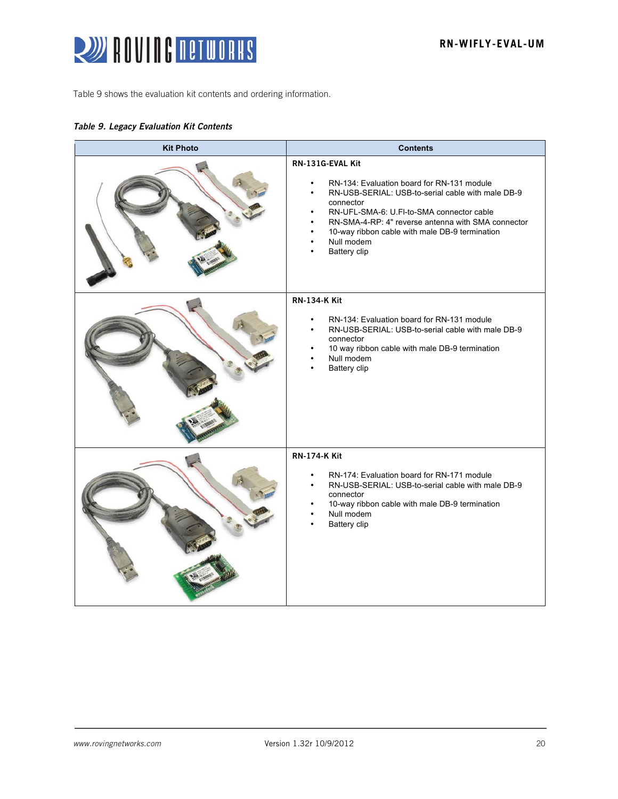

Table 9 shows the evaluation kit contents and ordering information.

## *Table 9. Legacy Evaluation Kit Contents*

| <b>Kit Photo</b> | <b>Contents</b>                                                                                                                                                                                                                                                                                                     |  |  |
|------------------|---------------------------------------------------------------------------------------------------------------------------------------------------------------------------------------------------------------------------------------------------------------------------------------------------------------------|--|--|
|                  | RN-131G-EVAL Kit<br>RN-134: Evaluation board for RN-131 module<br>RN-USB-SERIAL: USB-to-serial cable with male DB-9<br>connector<br>RN-UFL-SMA-6: U.FI-to-SMA connector cable<br>RN-SMA-4-RP: 4" reverse antenna with SMA connector<br>10-way ribbon cable with male DB-9 termination<br>Null modem<br>Battery clip |  |  |
|                  | <b>RN-134-K Kit</b><br>RN-134: Evaluation board for RN-131 module<br>RN-USB-SERIAL: USB-to-serial cable with male DB-9<br>connector<br>10 way ribbon cable with male DB-9 termination<br>Null modem<br>Battery clip                                                                                                 |  |  |
|                  | <b>RN-174-K Kit</b><br>RN-174: Evaluation board for RN-171 module<br>RN-USB-SERIAL: USB-to-serial cable with male DB-9<br>connector<br>10-way ribbon cable with male DB-9 termination<br>Null modem<br>Battery clip                                                                                                 |  |  |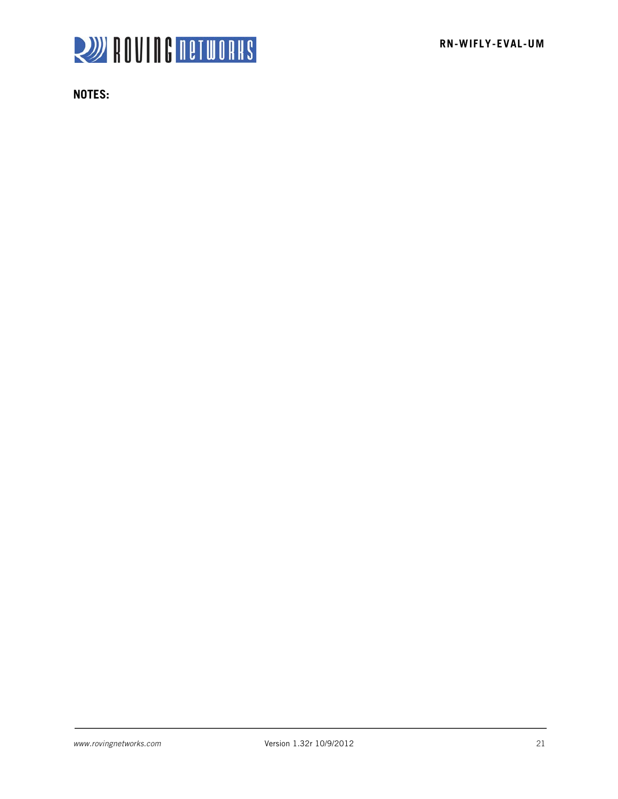



**NOTES:**